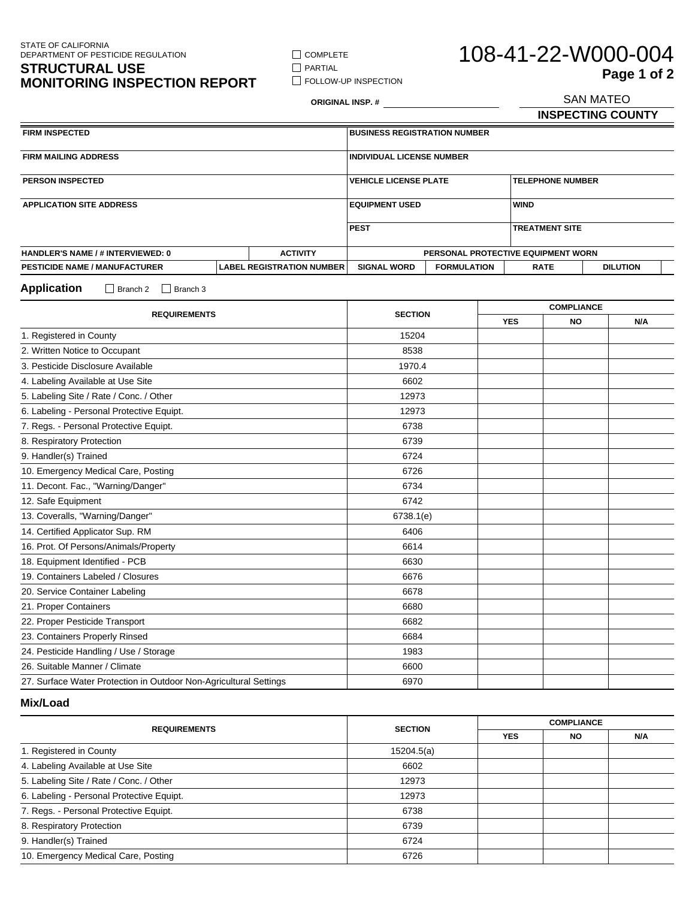STATE OF CALIFORNIA DEPARTMENT OF PESTICIDE REGULATION

### **STRUCTURAL USE MONITORING INSPECTION REPORT**

**FOLLOW-UP INSPECTION** 

 $\Box$  COMPLETE  $\hfill\Box$ <br> <br> PARTIAL

# 108-41-22-W000-004 **Page 1 of 2**<br>SAN MATEO

**ORIGINAL INSP. #**

**INSPECTING COUNTY**

| <b>FIRM INSPECTED</b>                                       |  |                                    | <b>BUSINESS REGISTRATION NUMBER</b> |                         |                       |                 |
|-------------------------------------------------------------|--|------------------------------------|-------------------------------------|-------------------------|-----------------------|-----------------|
| <b>FIRM MAILING ADDRESS</b>                                 |  |                                    | <b>INDIVIDUAL LICENSE NUMBER</b>    |                         |                       |                 |
| <b>PERSON INSPECTED</b>                                     |  | <b>VEHICLE LICENSE PLATE</b>       |                                     | <b>TELEPHONE NUMBER</b> |                       |                 |
| <b>APPLICATION SITE ADDRESS</b>                             |  |                                    | <b>EQUIPMENT USED</b>               |                         | <b>WIND</b>           |                 |
|                                                             |  |                                    | <b>PEST</b>                         |                         | <b>TREATMENT SITE</b> |                 |
| <b>HANDLER'S NAME / # INTERVIEWED: 0</b><br><b>ACTIVITY</b> |  | PERSONAL PROTECTIVE EQUIPMENT WORN |                                     |                         |                       |                 |
| <b>PESTICIDE NAME / MANUFACTURER</b>                        |  | <b>LABEL REGISTRATION NUMBER</b>   | <b>SIGNAL WORD</b>                  | <b>FORMULATION</b>      | <b>RATE</b>           | <b>DILUTION</b> |

**Application** □ Branch 2 □ Branch 3

| <b>REQUIREMENTS</b>                                               | <b>SECTION</b> | <b>COMPLIANCE</b> |           |     |
|-------------------------------------------------------------------|----------------|-------------------|-----------|-----|
|                                                                   |                | <b>YES</b>        | <b>NO</b> | N/A |
| 1. Registered in County                                           | 15204          |                   |           |     |
| 2. Written Notice to Occupant                                     | 8538           |                   |           |     |
| 3. Pesticide Disclosure Available                                 | 1970.4         |                   |           |     |
| 4. Labeling Available at Use Site                                 | 6602           |                   |           |     |
| 5. Labeling Site / Rate / Conc. / Other                           | 12973          |                   |           |     |
| 6. Labeling - Personal Protective Equipt.                         | 12973          |                   |           |     |
| 7. Regs. - Personal Protective Equipt.                            | 6738           |                   |           |     |
| 8. Respiratory Protection                                         | 6739           |                   |           |     |
| 9. Handler(s) Trained                                             | 6724           |                   |           |     |
| 10. Emergency Medical Care, Posting                               | 6726           |                   |           |     |
| 11. Decont. Fac., "Warning/Danger"                                | 6734           |                   |           |     |
| 12. Safe Equipment                                                | 6742           |                   |           |     |
| 13. Coveralls, "Warning/Danger"                                   | 6738.1(e)      |                   |           |     |
| 14. Certified Applicator Sup. RM                                  | 6406           |                   |           |     |
| 16. Prot. Of Persons/Animals/Property                             | 6614           |                   |           |     |
| 18. Equipment Identified - PCB                                    | 6630           |                   |           |     |
| 19. Containers Labeled / Closures                                 | 6676           |                   |           |     |
| 20. Service Container Labeling                                    | 6678           |                   |           |     |
| 21. Proper Containers                                             | 6680           |                   |           |     |
| 22. Proper Pesticide Transport                                    | 6682           |                   |           |     |
| 23. Containers Properly Rinsed                                    | 6684           |                   |           |     |
| 24. Pesticide Handling / Use / Storage                            | 1983           |                   |           |     |
| 26. Suitable Manner / Climate                                     | 6600           |                   |           |     |
| 27. Surface Water Protection in Outdoor Non-Agricultural Settings | 6970           |                   |           |     |

**Mix/Load**

| <b>REQUIREMENTS</b>                       | <b>SECTION</b> | <b>COMPLIANCE</b> |     |     |
|-------------------------------------------|----------------|-------------------|-----|-----|
|                                           |                | <b>YES</b>        | NO. | N/A |
| 1. Registered in County                   | 15204.5(a)     |                   |     |     |
| 4. Labeling Available at Use Site         | 6602           |                   |     |     |
| 5. Labeling Site / Rate / Conc. / Other   | 12973          |                   |     |     |
| 6. Labeling - Personal Protective Equipt. | 12973          |                   |     |     |
| 7. Regs. - Personal Protective Equipt.    | 6738           |                   |     |     |
| 8. Respiratory Protection                 | 6739           |                   |     |     |
| 9. Handler(s) Trained                     | 6724           |                   |     |     |
| 10. Emergency Medical Care, Posting       | 6726           |                   |     |     |